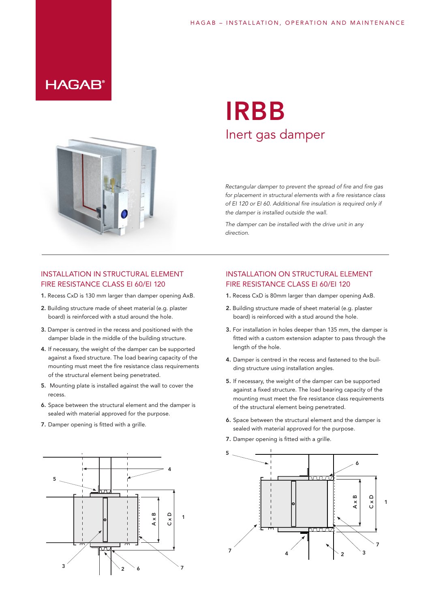### **HAGAB®**



## IRBB Inert gas damper

*Rectangular damper to prevent the spread of fire and fire gas for placement in structural elements with a fire resistance class of EI 120 or EI 60. Additional fire insulation is required only if the damper is installed outside the wall.*

*The damper can be installed with the drive unit in any direction.*

#### INSTALLATION IN STRUCTURAL ELEMENT FIRE RESISTANCE CLASS EI 60/EI 120

- 1. Recess CxD is 130 mm larger than damper opening AxB.
- 2. Building structure made of sheet material (e.g. plaster board) is reinforced with a stud around the hole.
- 3. Damper is centred in the recess and positioned with the damper blade in the middle of the building structure.
- 4. If necessary, the weight of the damper can be supported against a fixed structure. The load bearing capacity of the mounting must meet the fire resistance class requirements of the structural element being penetrated.
- 5. Mounting plate is installed against the wall to cover the recess
- 6. Space between the structural element and the damper is sealed with material approved for the purpose.
- 7. Damper opening is fitted with a grille.



#### INSTALLATION ON STRUCTURAL ELEMENT FIRE RESISTANCE CLASS EI 60/EI 120

- 1. Recess CxD is 80mm larger than damper opening AxB.
- 2. Building structure made of sheet material (e.g. plaster board) is reinforced with a stud around the hole.
- 3. For installation in holes deeper than 135 mm, the damper is fitted with a custom extension adapter to pass through the length of the hole.
- 4. Damper is centred in the recess and fastened to the building structure using installation angles.
- 5. If necessary, the weight of the damper can be supported against a fixed structure. The load bearing capacity of the mounting must meet the fire resistance class requirements of the structural element being penetrated.
- 6. Space between the structural element and the damper is sealed with material approved for the purpose.
- 7. Damper opening is fitted with a grille.